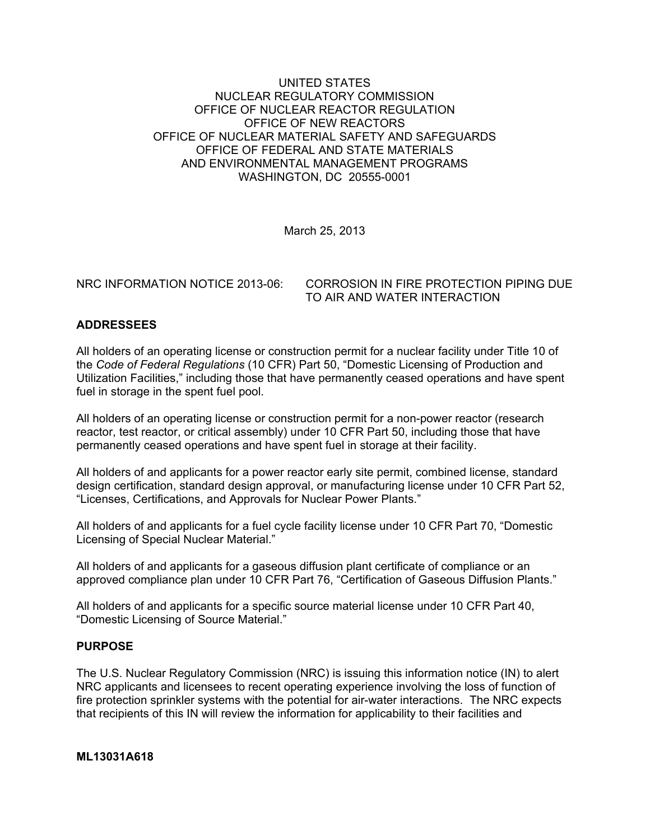### UNITED STATES NUCLEAR REGULATORY COMMISSION OFFICE OF NUCLEAR REACTOR REGULATION OFFICE OF NEW REACTORS OFFICE OF NUCLEAR MATERIAL SAFETY AND SAFEGUARDS OFFICE OF FEDERAL AND STATE MATERIALS AND ENVIRONMENTAL MANAGEMENT PROGRAMS WASHINGTON, DC 20555-0001

March 25, 2013

NRC INFORMATION NOTICE 2013-06: CORROSION IN FIRE PROTECTION PIPING DUE TO AIR AND WATER INTERACTION

## **ADDRESSEES**

All holders of an operating license or construction permit for a nuclear facility under Title 10 of the *Code of Federal Regulations* (10 CFR) Part 50, "Domestic Licensing of Production and Utilization Facilities," including those that have permanently ceased operations and have spent fuel in storage in the spent fuel pool.

All holders of an operating license or construction permit for a non-power reactor (research reactor, test reactor, or critical assembly) under 10 CFR Part 50, including those that have permanently ceased operations and have spent fuel in storage at their facility.

All holders of and applicants for a power reactor early site permit, combined license, standard design certification, standard design approval, or manufacturing license under 10 CFR Part 52, "Licenses, Certifications, and Approvals for Nuclear Power Plants."

All holders of and applicants for a fuel cycle facility license under 10 CFR Part 70, "Domestic Licensing of Special Nuclear Material."

All holders of and applicants for a gaseous diffusion plant certificate of compliance or an approved compliance plan under 10 CFR Part 76, "Certification of Gaseous Diffusion Plants."

All holders of and applicants for a specific source material license under 10 CFR Part 40, "Domestic Licensing of Source Material."

#### **PURPOSE**

The U.S. Nuclear Regulatory Commission (NRC) is issuing this information notice (IN) to alert NRC applicants and licensees to recent operating experience involving the loss of function of fire protection sprinkler systems with the potential for air-water interactions. The NRC expects that recipients of this IN will review the information for applicability to their facilities and

#### **ML13031A618**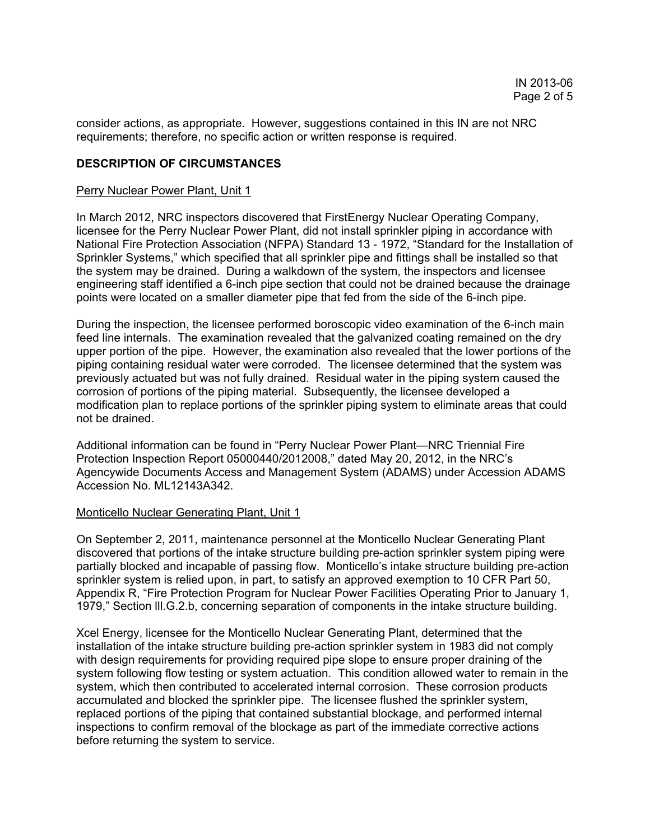consider actions, as appropriate. However, suggestions contained in this IN are not NRC requirements; therefore, no specific action or written response is required.

### **DESCRIPTION OF CIRCUMSTANCES**

#### Perry Nuclear Power Plant, Unit 1

In March 2012, NRC inspectors discovered that FirstEnergy Nuclear Operating Company, licensee for the Perry Nuclear Power Plant, did not install sprinkler piping in accordance with National Fire Protection Association (NFPA) Standard 13 - 1972, "Standard for the Installation of Sprinkler Systems," which specified that all sprinkler pipe and fittings shall be installed so that the system may be drained. During a walkdown of the system, the inspectors and licensee engineering staff identified a 6-inch pipe section that could not be drained because the drainage points were located on a smaller diameter pipe that fed from the side of the 6-inch pipe.

During the inspection, the licensee performed boroscopic video examination of the 6-inch main feed line internals. The examination revealed that the galvanized coating remained on the dry upper portion of the pipe. However, the examination also revealed that the lower portions of the piping containing residual water were corroded. The licensee determined that the system was previously actuated but was not fully drained. Residual water in the piping system caused the corrosion of portions of the piping material. Subsequently, the licensee developed a modification plan to replace portions of the sprinkler piping system to eliminate areas that could not be drained.

Additional information can be found in "Perry Nuclear Power Plant—NRC Triennial Fire Protection Inspection Report 05000440/2012008," dated May 20, 2012, in the NRC's Agencywide Documents Access and Management System (ADAMS) under Accession ADAMS Accession No. ML12143A342.

#### Monticello Nuclear Generating Plant, Unit 1

On September 2, 2011, maintenance personnel at the Monticello Nuclear Generating Plant discovered that portions of the intake structure building pre-action sprinkler system piping were partially blocked and incapable of passing flow. Monticello's intake structure building pre-action sprinkler system is relied upon, in part, to satisfy an approved exemption to 10 CFR Part 50, Appendix R, "Fire Protection Program for Nuclear Power Facilities Operating Prior to January 1, 1979," Section lll.G.2.b, concerning separation of components in the intake structure building.

Xcel Energy, licensee for the Monticello Nuclear Generating Plant, determined that the installation of the intake structure building pre-action sprinkler system in 1983 did not comply with design requirements for providing required pipe slope to ensure proper draining of the system following flow testing or system actuation. This condition allowed water to remain in the system, which then contributed to accelerated internal corrosion. These corrosion products accumulated and blocked the sprinkler pipe. The licensee flushed the sprinkler system, replaced portions of the piping that contained substantial blockage, and performed internal inspections to confirm removal of the blockage as part of the immediate corrective actions before returning the system to service.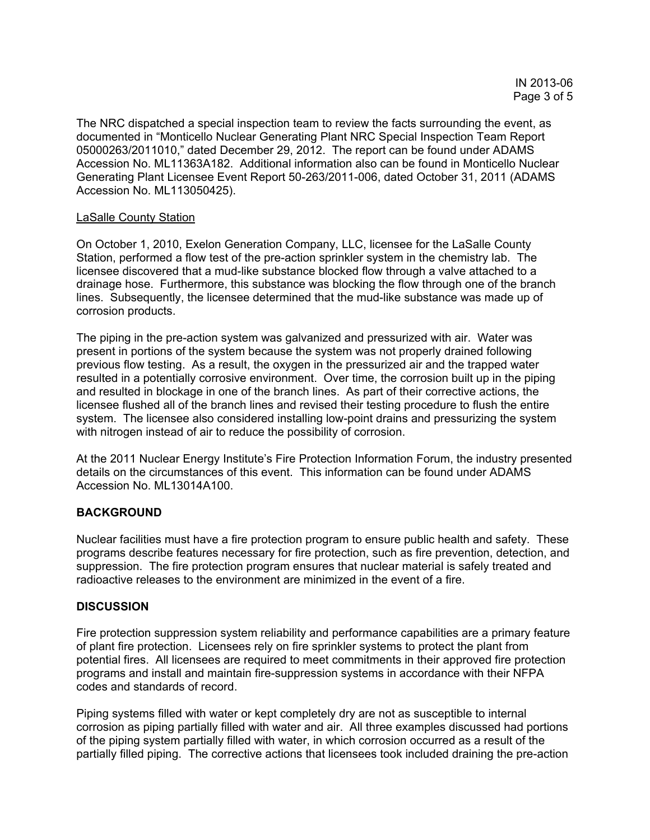The NRC dispatched a special inspection team to review the facts surrounding the event, as documented in "Monticello Nuclear Generating Plant NRC Special Inspection Team Report 05000263/2011010," dated December 29, 2012. The report can be found under ADAMS Accession No. ML11363A182. Additional information also can be found in Monticello Nuclear Generating Plant Licensee Event Report 50-263/2011-006, dated October 31, 2011 (ADAMS Accession No. ML113050425).

#### LaSalle County Station

On October 1, 2010, Exelon Generation Company, LLC, licensee for the LaSalle County Station, performed a flow test of the pre-action sprinkler system in the chemistry lab. The licensee discovered that a mud-like substance blocked flow through a valve attached to a drainage hose. Furthermore, this substance was blocking the flow through one of the branch lines. Subsequently, the licensee determined that the mud-like substance was made up of corrosion products.

The piping in the pre-action system was galvanized and pressurized with air. Water was present in portions of the system because the system was not properly drained following previous flow testing. As a result, the oxygen in the pressurized air and the trapped water resulted in a potentially corrosive environment. Over time, the corrosion built up in the piping and resulted in blockage in one of the branch lines. As part of their corrective actions, the licensee flushed all of the branch lines and revised their testing procedure to flush the entire system. The licensee also considered installing low-point drains and pressurizing the system with nitrogen instead of air to reduce the possibility of corrosion.

At the 2011 Nuclear Energy Institute's Fire Protection Information Forum, the industry presented details on the circumstances of this event. This information can be found under ADAMS Accession No. ML13014A100.

#### **BACKGROUND**

Nuclear facilities must have a fire protection program to ensure public health and safety. These programs describe features necessary for fire protection, such as fire prevention, detection, and suppression. The fire protection program ensures that nuclear material is safely treated and radioactive releases to the environment are minimized in the event of a fire.

#### **DISCUSSION**

Fire protection suppression system reliability and performance capabilities are a primary feature of plant fire protection. Licensees rely on fire sprinkler systems to protect the plant from potential fires. All licensees are required to meet commitments in their approved fire protection programs and install and maintain fire-suppression systems in accordance with their NFPA codes and standards of record.

Piping systems filled with water or kept completely dry are not as susceptible to internal corrosion as piping partially filled with water and air. All three examples discussed had portions of the piping system partially filled with water, in which corrosion occurred as a result of the partially filled piping. The corrective actions that licensees took included draining the pre-action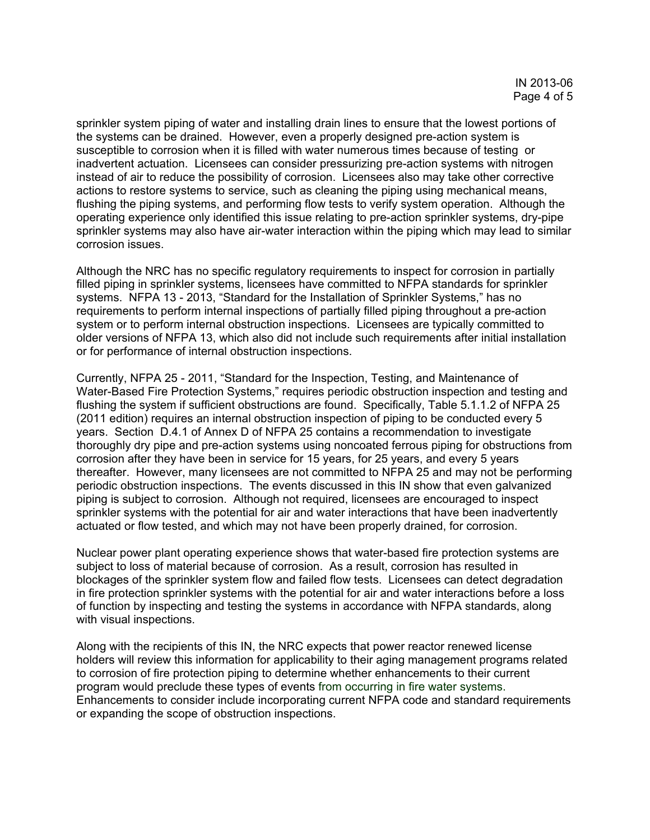sprinkler system piping of water and installing drain lines to ensure that the lowest portions of the systems can be drained. However, even a properly designed pre-action system is susceptible to corrosion when it is filled with water numerous times because of testing or inadvertent actuation. Licensees can consider pressurizing pre-action systems with nitrogen instead of air to reduce the possibility of corrosion. Licensees also may take other corrective actions to restore systems to service, such as cleaning the piping using mechanical means, flushing the piping systems, and performing flow tests to verify system operation. Although the operating experience only identified this issue relating to pre-action sprinkler systems, dry-pipe sprinkler systems may also have air-water interaction within the piping which may lead to similar corrosion issues.

Although the NRC has no specific regulatory requirements to inspect for corrosion in partially filled piping in sprinkler systems, licensees have committed to NFPA standards for sprinkler systems. NFPA 13 - 2013, "Standard for the Installation of Sprinkler Systems," has no requirements to perform internal inspections of partially filled piping throughout a pre-action system or to perform internal obstruction inspections. Licensees are typically committed to older versions of NFPA 13, which also did not include such requirements after initial installation or for performance of internal obstruction inspections.

Currently, NFPA 25 - 2011, "Standard for the Inspection, Testing, and Maintenance of Water-Based Fire Protection Systems," requires periodic obstruction inspection and testing and flushing the system if sufficient obstructions are found. Specifically, Table 5.1.1.2 of NFPA 25 (2011 edition) requires an internal obstruction inspection of piping to be conducted every 5 years. Section D.4.1 of Annex D of NFPA 25 contains a recommendation to investigate thoroughly dry pipe and pre-action systems using noncoated ferrous piping for obstructions from corrosion after they have been in service for 15 years, for 25 years, and every 5 years thereafter. However, many licensees are not committed to NFPA 25 and may not be performing periodic obstruction inspections. The events discussed in this IN show that even galvanized piping is subject to corrosion. Although not required, licensees are encouraged to inspect sprinkler systems with the potential for air and water interactions that have been inadvertently actuated or flow tested, and which may not have been properly drained, for corrosion.

Nuclear power plant operating experience shows that water-based fire protection systems are subject to loss of material because of corrosion. As a result, corrosion has resulted in blockages of the sprinkler system flow and failed flow tests. Licensees can detect degradation in fire protection sprinkler systems with the potential for air and water interactions before a loss of function by inspecting and testing the systems in accordance with NFPA standards, along with visual inspections.

Along with the recipients of this IN, the NRC expects that power reactor renewed license holders will review this information for applicability to their aging management programs related to corrosion of fire protection piping to determine whether enhancements to their current program would preclude these types of events from occurring in fire water systems. Enhancements to consider include incorporating current NFPA code and standard requirements or expanding the scope of obstruction inspections.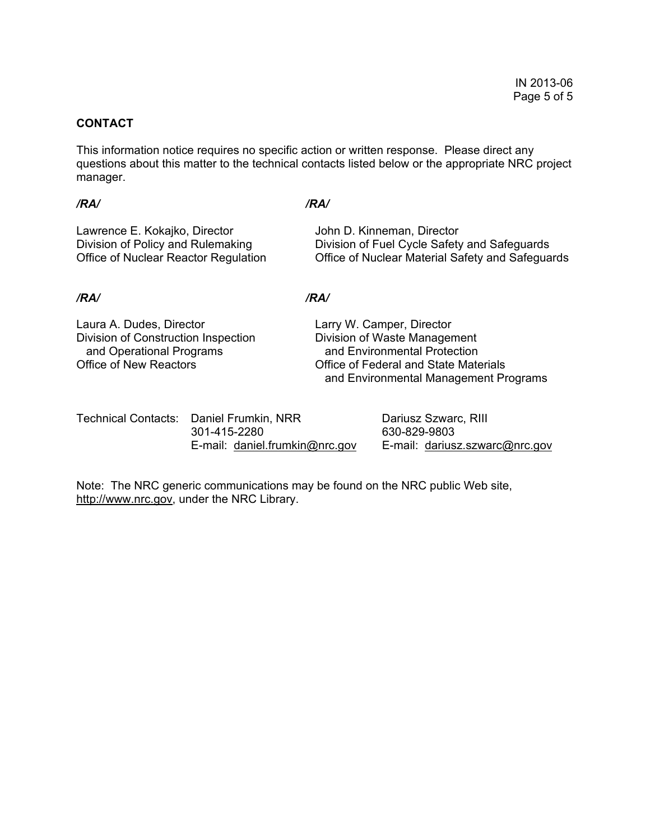### **CONTACT**

This information notice requires no specific action or written response. Please direct any questions about this matter to the technical contacts listed below or the appropriate NRC project manager.

*/RA/ /RA/* 

Lawrence E. Kokajko, Director **John D. Kinneman, Director** Division of Policy and Rulemaking Division of Fuel Cycle Safety and Safeguards Office of Nuclear Reactor Regulation Office of Nuclear Material Safety and Safeguards

#### */RA/ /RA/*

Laura A. Dudes, Director Larry W. Camper, Director Division of Construction Inspection Division of Waste Management and Operational Programs and Environmental Protection

Office of New Reactors Office of Federal and State Materials and Environmental Management Programs

| Technical Contacts: Daniel Frumkin, NRR | Dariusz Szwarc, RIII           |
|-----------------------------------------|--------------------------------|
| 301-415-2280                            | 630-829-9803                   |
| E-mail: daniel.frumkin@nrc.gov          | E-mail: dariusz.szwarc@nrc.gov |

Note: The NRC generic communications may be found on the NRC public Web site, http://www.nrc.gov, under the NRC Library.